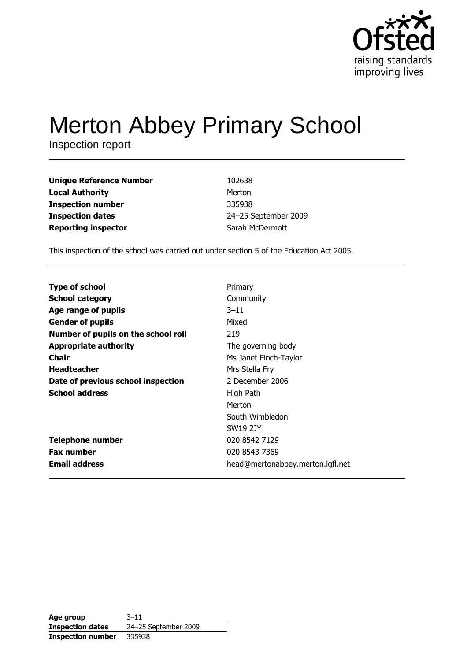

# **Merton Abbey Primary School**

Inspection report

| <b>Unique Reference Number</b> | 102638               |
|--------------------------------|----------------------|
| <b>Local Authority</b>         | Merton               |
| <b>Inspection number</b>       | 335938               |
| <b>Inspection dates</b>        | 24-25 September 2009 |
| <b>Reporting inspector</b>     | Sarah McDermott      |

This inspection of the school was carried out under section 5 of the Education Act 2005.

| <b>Type of school</b>               | Primary                          |
|-------------------------------------|----------------------------------|
| <b>School category</b>              | Community                        |
| Age range of pupils                 | $3 - 11$                         |
| <b>Gender of pupils</b>             | Mixed                            |
| Number of pupils on the school roll | 219                              |
| <b>Appropriate authority</b>        | The governing body               |
| <b>Chair</b>                        | Ms Janet Finch-Taylor            |
| <b>Headteacher</b>                  | Mrs Stella Fry                   |
| Date of previous school inspection  | 2 December 2006                  |
| <b>School address</b>               | High Path                        |
|                                     | Merton                           |
|                                     | South Wimbledon                  |
|                                     | <b>SW19 2JY</b>                  |
| <b>Telephone number</b>             | 020 8542 7129                    |
| <b>Fax number</b>                   | 020 8543 7369                    |
| <b>Email address</b>                | head@mertonabbey.merton.lgfl.net |

| Age group                | $3 - 11$             |
|--------------------------|----------------------|
| <b>Inspection dates</b>  | 24-25 September 2009 |
| <b>Inspection number</b> | 335938               |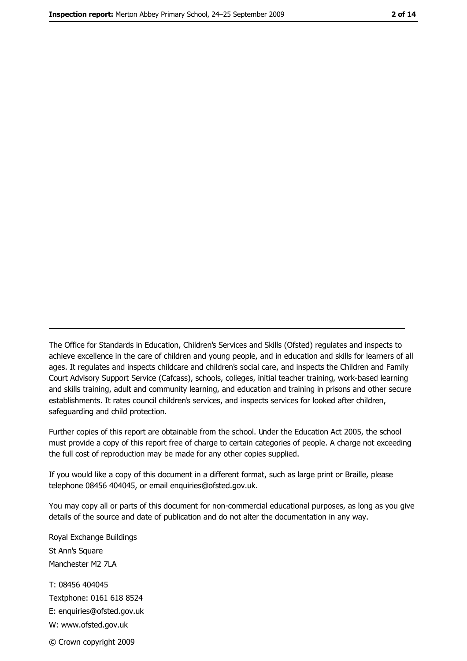The Office for Standards in Education, Children's Services and Skills (Ofsted) regulates and inspects to achieve excellence in the care of children and young people, and in education and skills for learners of all ages. It regulates and inspects childcare and children's social care, and inspects the Children and Family Court Advisory Support Service (Cafcass), schools, colleges, initial teacher training, work-based learning and skills training, adult and community learning, and education and training in prisons and other secure establishments. It rates council children's services, and inspects services for looked after children, safequarding and child protection.

Further copies of this report are obtainable from the school. Under the Education Act 2005, the school must provide a copy of this report free of charge to certain categories of people. A charge not exceeding the full cost of reproduction may be made for any other copies supplied.

If you would like a copy of this document in a different format, such as large print or Braille, please telephone 08456 404045, or email enquiries@ofsted.gov.uk.

You may copy all or parts of this document for non-commercial educational purposes, as long as you give details of the source and date of publication and do not alter the documentation in any way.

Royal Exchange Buildings St Ann's Square Manchester M2 7LA T: 08456 404045 Textphone: 0161 618 8524 E: enquiries@ofsted.gov.uk W: www.ofsted.gov.uk

© Crown copyright 2009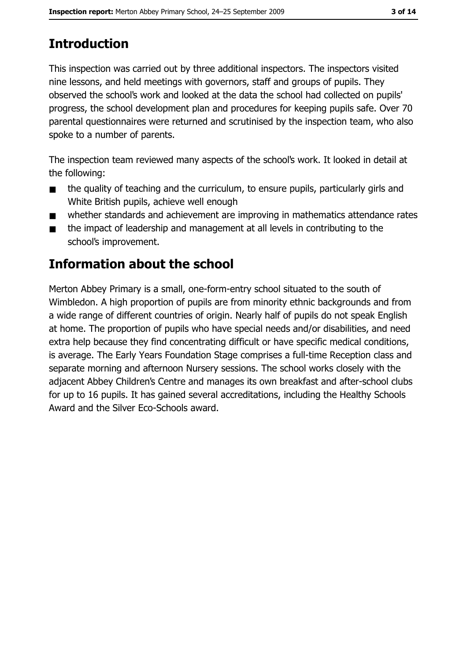# **Introduction**

This inspection was carried out by three additional inspectors. The inspectors visited nine lessons, and held meetings with governors, staff and groups of pupils. They observed the school's work and looked at the data the school had collected on pupils' progress, the school development plan and procedures for keeping pupils safe. Over 70 parental questionnaires were returned and scrutinised by the inspection team, who also spoke to a number of parents.

The inspection team reviewed many aspects of the school's work. It looked in detail at the following:

- the quality of teaching and the curriculum, to ensure pupils, particularly girls and  $\blacksquare$ White British pupils, achieve well enough
- whether standards and achievement are improving in mathematics attendance rates  $\blacksquare$
- the impact of leadership and management at all levels in contributing to the  $\blacksquare$ school's improvement.

# **Information about the school**

Merton Abbey Primary is a small, one-form-entry school situated to the south of Wimbledon. A high proportion of pupils are from minority ethnic backgrounds and from a wide range of different countries of origin. Nearly half of pupils do not speak English at home. The proportion of pupils who have special needs and/or disabilities, and need extra help because they find concentrating difficult or have specific medical conditions, is average. The Early Years Foundation Stage comprises a full-time Reception class and separate morning and afternoon Nursery sessions. The school works closely with the adjacent Abbey Children's Centre and manages its own breakfast and after-school clubs for up to 16 pupils. It has gained several accreditations, including the Healthy Schools Award and the Silver Eco-Schools award.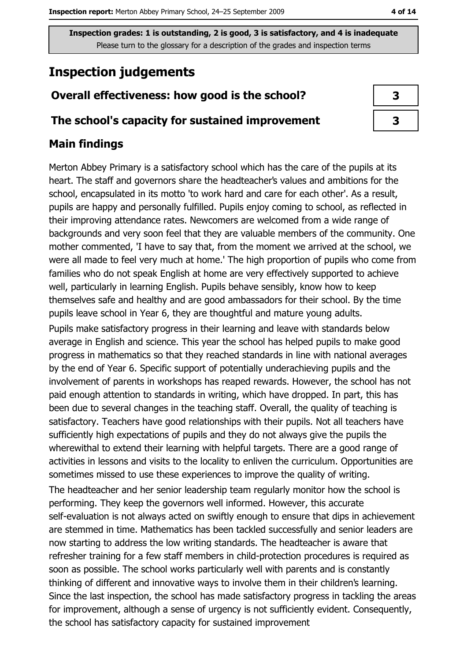## **Inspection judgements**

## Overall effectiveness: how good is the school?

## The school's capacity for sustained improvement

## **Main findings**

Merton Abbey Primary is a satisfactory school which has the care of the pupils at its heart. The staff and governors share the headteacher's values and ambitions for the school, encapsulated in its motto 'to work hard and care for each other'. As a result, pupils are happy and personally fulfilled. Pupils enjoy coming to school, as reflected in their improving attendance rates. Newcomers are welcomed from a wide range of backgrounds and very soon feel that they are valuable members of the community. One mother commented, 'I have to say that, from the moment we arrived at the school, we were all made to feel very much at home.' The high proportion of pupils who come from families who do not speak English at home are very effectively supported to achieve well, particularly in learning English. Pupils behave sensibly, know how to keep themselves safe and healthy and are good ambassadors for their school. By the time pupils leave school in Year 6, they are thoughtful and mature young adults. Pupils make satisfactory progress in their learning and leave with standards below average in English and science. This year the school has helped pupils to make good progress in mathematics so that they reached standards in line with national averages by the end of Year 6. Specific support of potentially underachieving pupils and the involvement of parents in workshops has reaped rewards. However, the school has not paid enough attention to standards in writing, which have dropped. In part, this has been due to several changes in the teaching staff. Overall, the quality of teaching is satisfactory. Teachers have good relationships with their pupils. Not all teachers have sufficiently high expectations of pupils and they do not always give the pupils the wherewithal to extend their learning with helpful targets. There are a good range of activities in lessons and visits to the locality to enliven the curriculum. Opportunities are sometimes missed to use these experiences to improve the quality of writing.

The headteacher and her senior leadership team regularly monitor how the school is performing. They keep the governors well informed. However, this accurate self-evaluation is not always acted on swiftly enough to ensure that dips in achievement are stemmed in time. Mathematics has been tackled successfully and senior leaders are now starting to address the low writing standards. The headteacher is aware that refresher training for a few staff members in child-protection procedures is required as soon as possible. The school works particularly well with parents and is constantly thinking of different and innovative ways to involve them in their children's learning. Since the last inspection, the school has made satisfactory progress in tackling the areas for improvement, although a sense of urgency is not sufficiently evident. Consequently, the school has satisfactory capacity for sustained improvement

| 3 |  |
|---|--|
| 3 |  |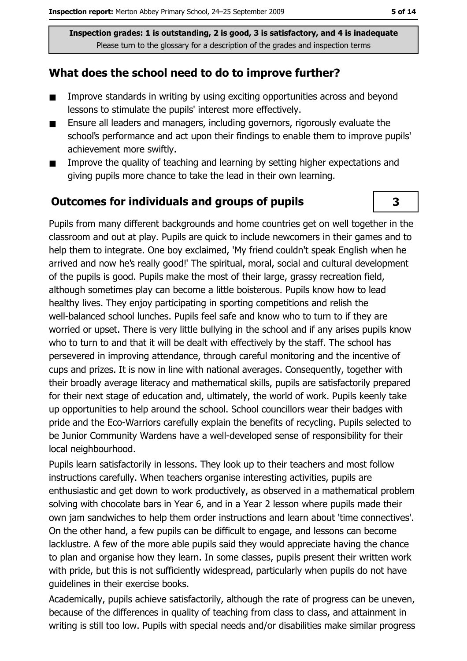## What does the school need to do to improve further?

- Improve standards in writing by using exciting opportunities across and beyond  $\blacksquare$ lessons to stimulate the pupils' interest more effectively.
- Ensure all leaders and managers, including governors, rigorously evaluate the  $\blacksquare$ school's performance and act upon their findings to enable them to improve pupils' achievement more swiftly.
- Improve the quality of teaching and learning by setting higher expectations and  $\blacksquare$ giving pupils more chance to take the lead in their own learning.

### **Outcomes for individuals and groups of pupils**

Pupils from many different backgrounds and home countries get on well together in the classroom and out at play. Pupils are quick to include newcomers in their games and to help them to integrate. One boy exclaimed, 'My friend couldn't speak English when he arrived and now he's really good!' The spiritual, moral, social and cultural development of the pupils is good. Pupils make the most of their large, grassy recreation field, although sometimes play can become a little boisterous. Pupils know how to lead healthy lives. They enjoy participating in sporting competitions and relish the well-balanced school lunches. Pupils feel safe and know who to turn to if they are worried or upset. There is very little bullying in the school and if any arises pupils know who to turn to and that it will be dealt with effectively by the staff. The school has persevered in improving attendance, through careful monitoring and the incentive of cups and prizes. It is now in line with national averages. Consequently, together with their broadly average literacy and mathematical skills, pupils are satisfactorily prepared for their next stage of education and, ultimately, the world of work. Pupils keenly take up opportunities to help around the school. School councillors wear their badges with pride and the Eco-Warriors carefully explain the benefits of recycling. Pupils selected to be Junior Community Wardens have a well-developed sense of responsibility for their local neighbourhood.

Pupils learn satisfactorily in lessons. They look up to their teachers and most follow instructions carefully. When teachers organise interesting activities, pupils are enthusiastic and get down to work productively, as observed in a mathematical problem solving with chocolate bars in Year 6, and in a Year 2 lesson where pupils made their own jam sandwiches to help them order instructions and learn about 'time connectives'. On the other hand, a few pupils can be difficult to engage, and lessons can become lacklustre. A few of the more able pupils said they would appreciate having the chance to plan and organise how they learn. In some classes, pupils present their written work with pride, but this is not sufficiently widespread, particularly when pupils do not have quidelines in their exercise books.

Academically, pupils achieve satisfactorily, although the rate of progress can be uneven, because of the differences in quality of teaching from class to class, and attainment in writing is still too low. Pupils with special needs and/or disabilities make similar progress

3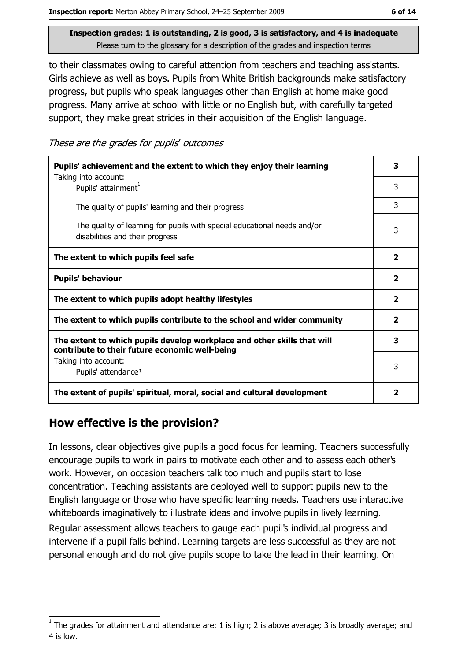to their classmates owing to careful attention from teachers and teaching assistants. Girls achieve as well as boys. Pupils from White British backgrounds make satisfactory progress, but pupils who speak languages other than English at home make good progress. Many arrive at school with little or no English but, with carefully targeted support, they make great strides in their acquisition of the English language.

These are the grades for pupils' outcomes

| Pupils' achievement and the extent to which they enjoy their learning                                                     |                         |
|---------------------------------------------------------------------------------------------------------------------------|-------------------------|
| Taking into account:<br>Pupils' attainment <sup>1</sup>                                                                   | 3                       |
| The quality of pupils' learning and their progress                                                                        | 3                       |
| The quality of learning for pupils with special educational needs and/or<br>disabilities and their progress               | 3                       |
| The extent to which pupils feel safe                                                                                      | $\overline{\mathbf{2}}$ |
| <b>Pupils' behaviour</b>                                                                                                  |                         |
| The extent to which pupils adopt healthy lifestyles                                                                       | $\overline{\mathbf{2}}$ |
| The extent to which pupils contribute to the school and wider community                                                   | $\overline{\mathbf{2}}$ |
| The extent to which pupils develop workplace and other skills that will<br>contribute to their future economic well-being | 3                       |
| Taking into account:<br>Pupils' attendance <sup>1</sup>                                                                   | 3                       |
| The extent of pupils' spiritual, moral, social and cultural development                                                   | $\overline{\mathbf{2}}$ |

## How effective is the provision?

In lessons, clear objectives give pupils a good focus for learning. Teachers successfully encourage pupils to work in pairs to motivate each other and to assess each other's work. However, on occasion teachers talk too much and pupils start to lose concentration. Teaching assistants are deployed well to support pupils new to the English language or those who have specific learning needs. Teachers use interactive whiteboards imaginatively to illustrate ideas and involve pupils in lively learning.

Regular assessment allows teachers to gauge each pupil's individual progress and intervene if a pupil falls behind. Learning targets are less successful as they are not personal enough and do not give pupils scope to take the lead in their learning. On

The grades for attainment and attendance are: 1 is high; 2 is above average; 3 is broadly average; and 4 is low.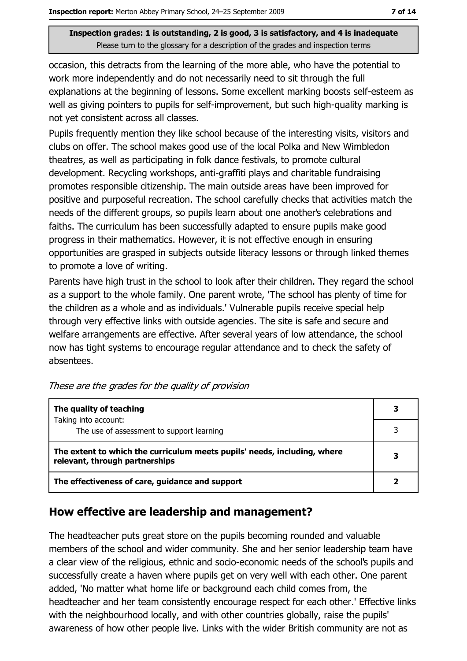occasion, this detracts from the learning of the more able, who have the potential to work more independently and do not necessarily need to sit through the full explanations at the beginning of lessons. Some excellent marking boosts self-esteem as well as giving pointers to pupils for self-improvement, but such high-quality marking is not yet consistent across all classes.

Pupils frequently mention they like school because of the interesting visits, visitors and clubs on offer. The school makes good use of the local Polka and New Wimbledon theatres, as well as participating in folk dance festivals, to promote cultural development. Recycling workshops, anti-graffiti plays and charitable fundraising promotes responsible citizenship. The main outside areas have been improved for positive and purposeful recreation. The school carefully checks that activities match the needs of the different groups, so pupils learn about one another's celebrations and faiths. The curriculum has been successfully adapted to ensure pupils make good progress in their mathematics. However, it is not effective enough in ensuring opportunities are grasped in subjects outside literacy lessons or through linked themes to promote a love of writing.

Parents have high trust in the school to look after their children. They regard the school as a support to the whole family. One parent wrote, 'The school has plenty of time for the children as a whole and as individuals.' Vulnerable pupils receive special help through very effective links with outside agencies. The site is safe and secure and welfare arrangements are effective. After several years of low attendance, the school now has tight systems to encourage regular attendance and to check the safety of absentees.

| The quality of teaching                                                                                    |  |
|------------------------------------------------------------------------------------------------------------|--|
| Taking into account:<br>The use of assessment to support learning                                          |  |
| The extent to which the curriculum meets pupils' needs, including, where<br>relevant, through partnerships |  |
| The effectiveness of care, guidance and support                                                            |  |

These are the grades for the quality of provision

## How effective are leadership and management?

The headteacher puts great store on the pupils becoming rounded and valuable members of the school and wider community. She and her senior leadership team have a clear view of the religious, ethnic and socio-economic needs of the school's pupils and successfully create a haven where pupils get on very well with each other. One parent added, 'No matter what home life or background each child comes from, the headteacher and her team consistently encourage respect for each other.' Effective links with the neighbourhood locally, and with other countries globally, raise the pupils' awareness of how other people live. Links with the wider British community are not as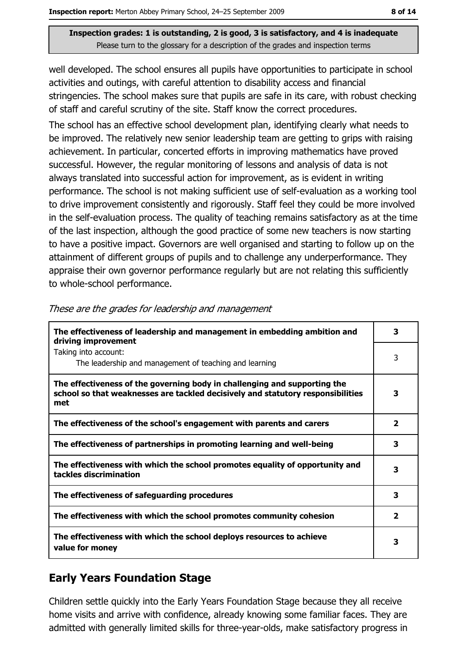well developed. The school ensures all pupils have opportunities to participate in school activities and outings, with careful attention to disability access and financial stringencies. The school makes sure that pupils are safe in its care, with robust checking of staff and careful scrutiny of the site. Staff know the correct procedures.

The school has an effective school development plan, identifying clearly what needs to be improved. The relatively new senior leadership team are getting to grips with raising achievement. In particular, concerted efforts in improving mathematics have proved successful. However, the regular monitoring of lessons and analysis of data is not always translated into successful action for improvement, as is evident in writing performance. The school is not making sufficient use of self-evaluation as a working tool to drive improvement consistently and rigorously. Staff feel they could be more involved in the self-evaluation process. The quality of teaching remains satisfactory as at the time of the last inspection, although the good practice of some new teachers is now starting to have a positive impact. Governors are well organised and starting to follow up on the attainment of different groups of pupils and to challenge any underperformance. They appraise their own governor performance regularly but are not relating this sufficiently to whole-school performance.

| The effectiveness of leadership and management in embedding ambition and<br>driving improvement                                                                     | 3                       |
|---------------------------------------------------------------------------------------------------------------------------------------------------------------------|-------------------------|
| Taking into account:<br>The leadership and management of teaching and learning                                                                                      | 3                       |
| The effectiveness of the governing body in challenging and supporting the<br>school so that weaknesses are tackled decisively and statutory responsibilities<br>met | 3                       |
| The effectiveness of the school's engagement with parents and carers                                                                                                | $\overline{\mathbf{2}}$ |
| The effectiveness of partnerships in promoting learning and well-being                                                                                              | 3                       |
| The effectiveness with which the school promotes equality of opportunity and<br>tackles discrimination                                                              | 3                       |
| The effectiveness of safeguarding procedures                                                                                                                        | 3                       |
| The effectiveness with which the school promotes community cohesion                                                                                                 | $\overline{2}$          |
| The effectiveness with which the school deploys resources to achieve<br>value for money                                                                             | 3                       |

These are the grades for leadership and management

## **Early Years Foundation Stage**

Children settle quickly into the Early Years Foundation Stage because they all receive home visits and arrive with confidence, already knowing some familiar faces. They are admitted with generally limited skills for three-year-olds, make satisfactory progress in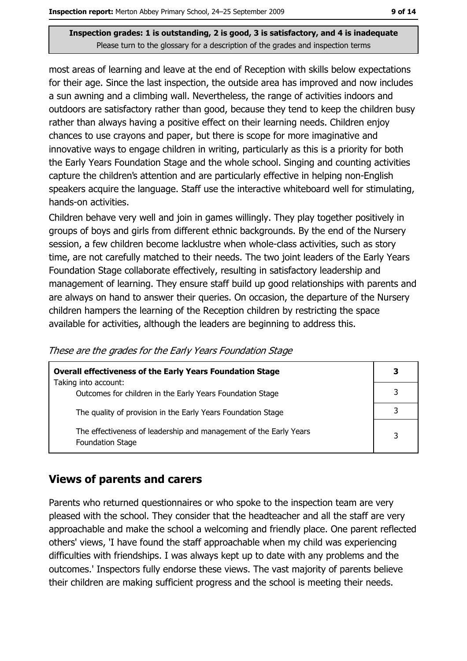most areas of learning and leave at the end of Reception with skills below expectations for their age. Since the last inspection, the outside area has improved and now includes a sun awning and a climbing wall. Nevertheless, the range of activities indoors and outdoors are satisfactory rather than good, because they tend to keep the children busy rather than always having a positive effect on their learning needs. Children enjoy chances to use crayons and paper, but there is scope for more imaginative and innovative ways to engage children in writing, particularly as this is a priority for both the Early Years Foundation Stage and the whole school. Singing and counting activities capture the children's attention and are particularly effective in helping non-English speakers acquire the language. Staff use the interactive whiteboard well for stimulating, hands-on activities.

Children behave very well and join in games willingly. They play together positively in groups of boys and girls from different ethnic backgrounds. By the end of the Nursery session, a few children become lacklustre when whole-class activities, such as story time, are not carefully matched to their needs. The two joint leaders of the Early Years Foundation Stage collaborate effectively, resulting in satisfactory leadership and management of learning. They ensure staff build up good relationships with parents and are always on hand to answer their queries. On occasion, the departure of the Nursery children hampers the learning of the Reception children by restricting the space available for activities, although the leaders are beginning to address this.

| <b>Overall effectiveness of the Early Years Foundation Stage</b>                             |  |
|----------------------------------------------------------------------------------------------|--|
| Taking into account:<br>Outcomes for children in the Early Years Foundation Stage            |  |
| The quality of provision in the Early Years Foundation Stage                                 |  |
| The effectiveness of leadership and management of the Early Years<br><b>Foundation Stage</b> |  |

These are the grades for the Early Years Foundation Stage

## **Views of parents and carers**

Parents who returned questionnaires or who spoke to the inspection team are very pleased with the school. They consider that the headteacher and all the staff are very approachable and make the school a welcoming and friendly place. One parent reflected others' views, 'I have found the staff approachable when my child was experiencing difficulties with friendships. I was always kept up to date with any problems and the outcomes.' Inspectors fully endorse these views. The vast majority of parents believe their children are making sufficient progress and the school is meeting their needs.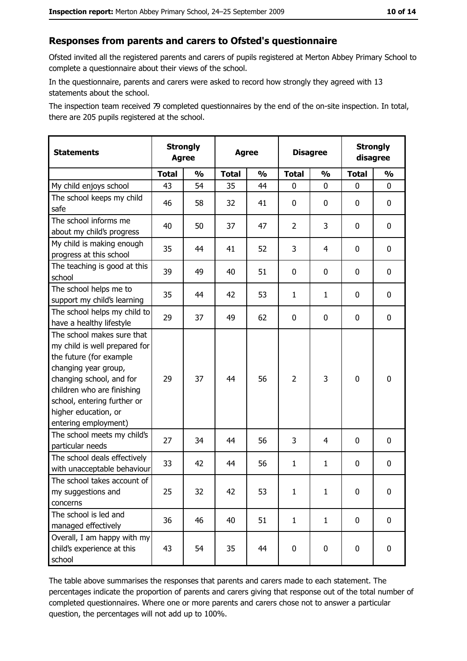#### Responses from parents and carers to Ofsted's questionnaire

Ofsted invited all the registered parents and carers of pupils registered at Merton Abbey Primary School to complete a questionnaire about their views of the school.

In the questionnaire, parents and carers were asked to record how strongly they agreed with 13 statements about the school.

The inspection team received 79 completed questionnaires by the end of the on-site inspection. In total, there are 205 pupils registered at the school.

| <b>Statements</b>                                                                                                                                                                                                                                       | <b>Strongly</b><br><b>Agree</b> |               | <b>Agree</b> |               |                | <b>Disagree</b> |              | <b>Strongly</b><br>disagree |  |
|---------------------------------------------------------------------------------------------------------------------------------------------------------------------------------------------------------------------------------------------------------|---------------------------------|---------------|--------------|---------------|----------------|-----------------|--------------|-----------------------------|--|
|                                                                                                                                                                                                                                                         | <b>Total</b>                    | $\frac{0}{0}$ | <b>Total</b> | $\frac{0}{0}$ | <b>Total</b>   | $\frac{1}{2}$   | <b>Total</b> | $\frac{1}{2}$               |  |
| My child enjoys school                                                                                                                                                                                                                                  | 43                              | 54            | 35           | 44            | 0              | 0               | 0            | 0                           |  |
| The school keeps my child<br>safe                                                                                                                                                                                                                       | 46                              | 58            | 32           | 41            | $\mathbf 0$    | 0               | 0            | 0                           |  |
| The school informs me<br>about my child's progress                                                                                                                                                                                                      | 40                              | 50            | 37           | 47            | $\overline{2}$ | 3               | 0            | 0                           |  |
| My child is making enough<br>progress at this school                                                                                                                                                                                                    | 35                              | 44            | 41           | 52            | 3              | 4               | 0            | 0                           |  |
| The teaching is good at this<br>school                                                                                                                                                                                                                  | 39                              | 49            | 40           | 51            | 0              | 0               | 0            | 0                           |  |
| The school helps me to<br>support my child's learning                                                                                                                                                                                                   | 35                              | 44            | 42           | 53            | $\mathbf{1}$   | $\mathbf{1}$    | 0            | 0                           |  |
| The school helps my child to<br>have a healthy lifestyle                                                                                                                                                                                                | 29                              | 37            | 49           | 62            | $\mathbf 0$    | 0               | 0            | $\mathbf 0$                 |  |
| The school makes sure that<br>my child is well prepared for<br>the future (for example<br>changing year group,<br>changing school, and for<br>children who are finishing<br>school, entering further or<br>higher education, or<br>entering employment) | 29                              | 37            | 44           | 56            | $\overline{2}$ | 3               | $\mathbf 0$  | $\mathbf 0$                 |  |
| The school meets my child's<br>particular needs                                                                                                                                                                                                         | 27                              | 34            | 44           | 56            | 3              | 4               | 0            | 0                           |  |
| The school deals effectively<br>with unacceptable behaviour                                                                                                                                                                                             | 33                              | 42            | 44           | 56            | $\mathbf{1}$   | $\mathbf{1}$    | 0            | 0                           |  |
| The school takes account of<br>my suggestions and<br>concerns                                                                                                                                                                                           | 25                              | 32            | 42           | 53            | $\mathbf{1}$   | $\mathbf{1}$    | 0            | $\bf{0}$                    |  |
| The school is led and<br>managed effectively                                                                                                                                                                                                            | 36                              | 46            | 40           | 51            | $\mathbf{1}$   | $\mathbf{1}$    | 0            | 0                           |  |
| Overall, I am happy with my<br>child's experience at this<br>school                                                                                                                                                                                     | 43                              | 54            | 35           | 44            | $\mathbf 0$    | 0               | 0            | 0                           |  |

The table above summarises the responses that parents and carers made to each statement. The percentages indicate the proportion of parents and carers giving that response out of the total number of completed questionnaires. Where one or more parents and carers chose not to answer a particular question, the percentages will not add up to 100%.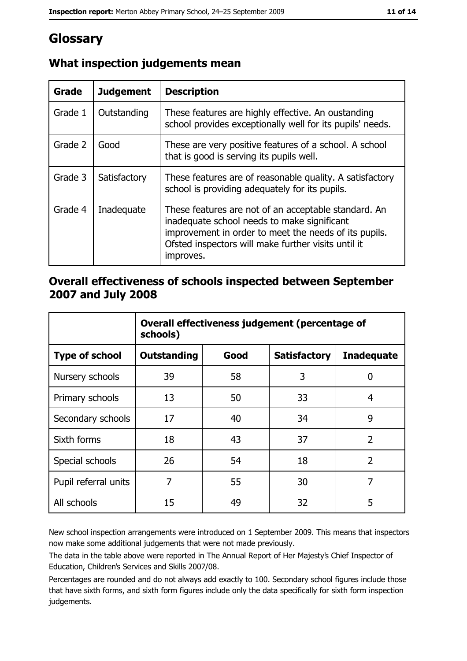# Glossary

| <b>Grade</b> | <b>Judgement</b> | <b>Description</b>                                                                                                                                                                                                               |
|--------------|------------------|----------------------------------------------------------------------------------------------------------------------------------------------------------------------------------------------------------------------------------|
| Grade 1      | Outstanding      | These features are highly effective. An oustanding<br>school provides exceptionally well for its pupils' needs.                                                                                                                  |
| Grade 2      | Good             | These are very positive features of a school. A school<br>that is good is serving its pupils well.                                                                                                                               |
| Grade 3      | Satisfactory     | These features are of reasonable quality. A satisfactory<br>school is providing adequately for its pupils.                                                                                                                       |
| Grade 4      | Inadequate       | These features are not of an acceptable standard. An<br>inadequate school needs to make significant<br>improvement in order to meet the needs of its pupils.<br>Ofsted inspectors will make further visits until it<br>improves. |

## What inspection judgements mean

## Overall effectiveness of schools inspected between September 2007 and July 2008

|                       | Overall effectiveness judgement (percentage of<br>schools) |      |                     |                   |
|-----------------------|------------------------------------------------------------|------|---------------------|-------------------|
| <b>Type of school</b> | Outstanding                                                | Good | <b>Satisfactory</b> | <b>Inadequate</b> |
| Nursery schools       | 39                                                         | 58   | 3                   | 0                 |
| Primary schools       | 13                                                         | 50   | 33                  | 4                 |
| Secondary schools     | 17                                                         | 40   | 34                  | 9                 |
| Sixth forms           | 18                                                         | 43   | 37                  | $\overline{2}$    |
| Special schools       | 26                                                         | 54   | 18                  | $\overline{2}$    |
| Pupil referral units  | 7                                                          | 55   | 30                  | 7                 |
| All schools           | 15                                                         | 49   | 32                  | 5                 |

New school inspection arrangements were introduced on 1 September 2009. This means that inspectors now make some additional judgements that were not made previously.

The data in the table above were reported in The Annual Report of Her Majesty's Chief Inspector of Education, Children's Services and Skills 2007/08.

Percentages are rounded and do not always add exactly to 100. Secondary school figures include those that have sixth forms, and sixth form figures include only the data specifically for sixth form inspection judgements.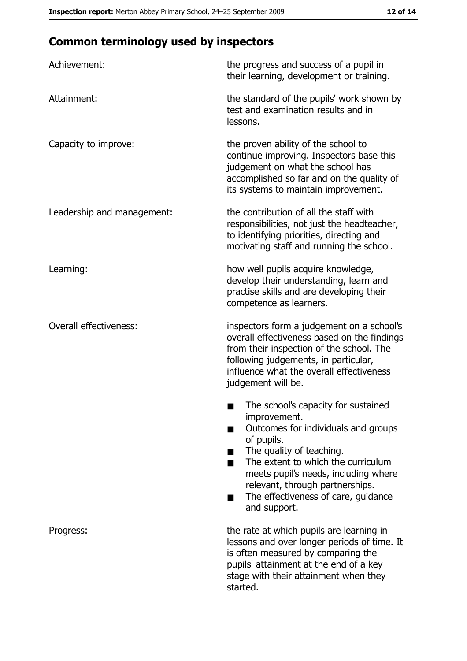# **Common terminology used by inspectors**

| Achievement:                  | the progress and success of a pupil in<br>their learning, development or training.                                                                                                                                                                                                                           |
|-------------------------------|--------------------------------------------------------------------------------------------------------------------------------------------------------------------------------------------------------------------------------------------------------------------------------------------------------------|
| Attainment:                   | the standard of the pupils' work shown by<br>test and examination results and in<br>lessons.                                                                                                                                                                                                                 |
| Capacity to improve:          | the proven ability of the school to<br>continue improving. Inspectors base this<br>judgement on what the school has<br>accomplished so far and on the quality of<br>its systems to maintain improvement.                                                                                                     |
| Leadership and management:    | the contribution of all the staff with<br>responsibilities, not just the headteacher,<br>to identifying priorities, directing and<br>motivating staff and running the school.                                                                                                                                |
| Learning:                     | how well pupils acquire knowledge,<br>develop their understanding, learn and<br>practise skills and are developing their<br>competence as learners.                                                                                                                                                          |
| <b>Overall effectiveness:</b> | inspectors form a judgement on a school's<br>overall effectiveness based on the findings<br>from their inspection of the school. The<br>following judgements, in particular,<br>influence what the overall effectiveness<br>judgement will be.                                                               |
|                               | The school's capacity for sustained<br>improvement.<br>Outcomes for individuals and groups<br>of pupils.<br>The quality of teaching.<br>The extent to which the curriculum<br>meets pupil's needs, including where<br>relevant, through partnerships.<br>The effectiveness of care, guidance<br>and support. |
| Progress:                     | the rate at which pupils are learning in<br>lessons and over longer periods of time. It<br>is often measured by comparing the<br>pupils' attainment at the end of a key<br>stage with their attainment when they<br>started.                                                                                 |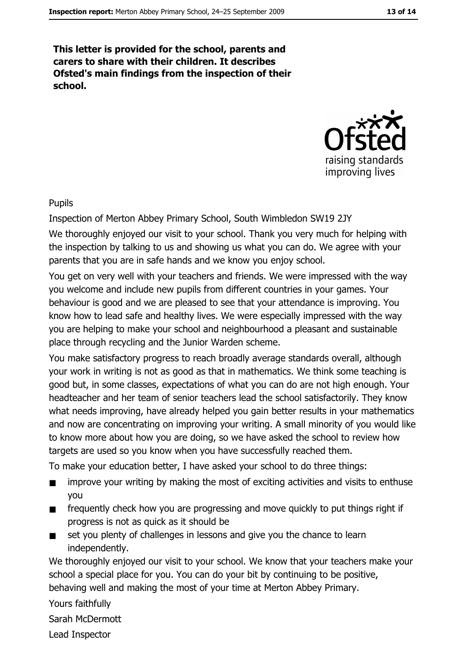This letter is provided for the school, parents and carers to share with their children. It describes Ofsted's main findings from the inspection of their school.



**Pupils** 

Inspection of Merton Abbey Primary School, South Wimbledon SW19 2JY

We thoroughly enjoyed our visit to your school. Thank you very much for helping with the inspection by talking to us and showing us what you can do. We agree with your parents that you are in safe hands and we know you enjoy school.

You get on very well with your teachers and friends. We were impressed with the way you welcome and include new pupils from different countries in your games. Your behaviour is good and we are pleased to see that your attendance is improving. You know how to lead safe and healthy lives. We were especially impressed with the way you are helping to make your school and neighbourhood a pleasant and sustainable place through recycling and the Junior Warden scheme.

You make satisfactory progress to reach broadly average standards overall, although your work in writing is not as good as that in mathematics. We think some teaching is good but, in some classes, expectations of what you can do are not high enough. Your headteacher and her team of senior teachers lead the school satisfactorily. They know what needs improving, have already helped you gain better results in your mathematics and now are concentrating on improving your writing. A small minority of you would like to know more about how you are doing, so we have asked the school to review how targets are used so you know when you have successfully reached them.

To make your education better, I have asked your school to do three things:

- improve your writing by making the most of exciting activities and visits to enthuse  $\blacksquare$ you
- frequently check how you are progressing and move quickly to put things right if  $\blacksquare$ progress is not as guick as it should be
- set you plenty of challenges in lessons and give you the chance to learn  $\blacksquare$ independently.

We thoroughly enjoyed our visit to your school. We know that your teachers make your school a special place for you. You can do your bit by continuing to be positive, behaving well and making the most of your time at Merton Abbey Primary.

Yours faithfully

Sarah McDermott

Lead Inspector